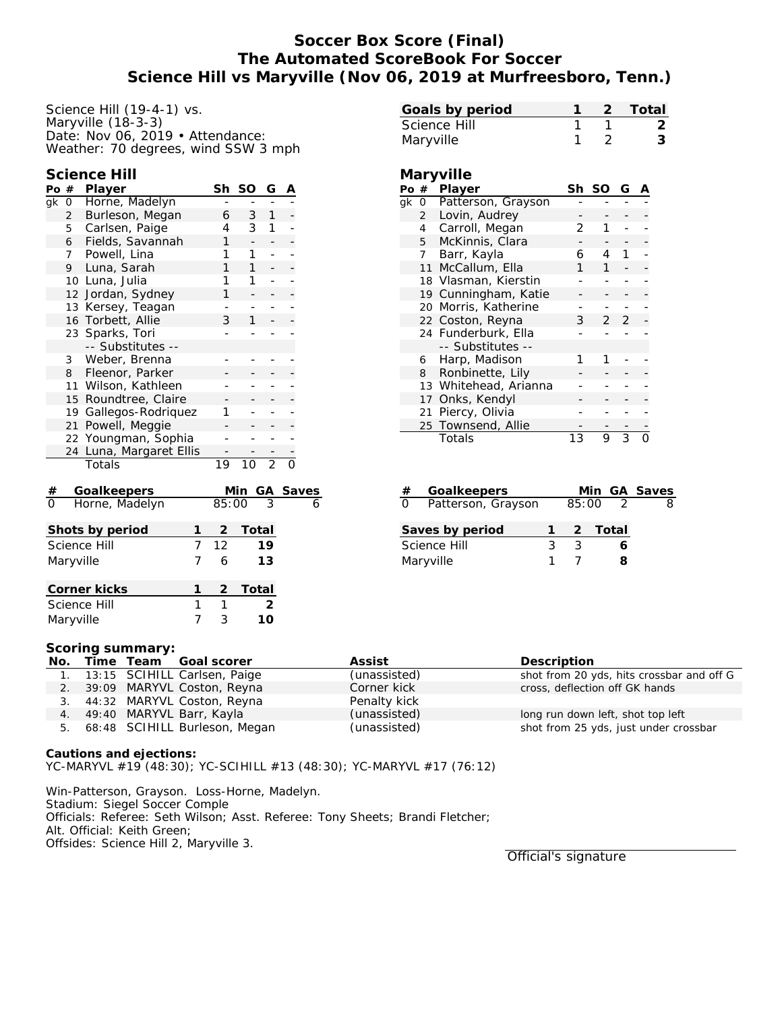# **Soccer Box Score (Final) The Automated ScoreBook For Soccer Science Hill vs Maryville (Nov 06, 2019 at Murfreesboro, Tenn.)**

Science Hill (19-4-1) vs. Maryville (18-3-3) Date: Nov 06, 2019 • Attendance: Weather: 70 degrees, wind SSW 3 mph

**Science Hill**

| Po $#$                 |                | Player                         | Sh             | SO              | G              | Α |              |
|------------------------|----------------|--------------------------------|----------------|-----------------|----------------|---|--------------|
| qk                     | 0              | Horne, Madelyn                 |                |                 |                |   |              |
|                        | $\overline{2}$ | Burleson, Megan                | 6              | 3               | 1              |   |              |
|                        | 5              | Carlsen, Paige                 | 4              | 3               | 1              |   |              |
|                        | 6              | Fields, Savannah               | 1              | $\frac{1}{2}$   | -              |   |              |
|                        | 7              | Powell, Lina                   | 1              | 1               |                |   |              |
|                        | 9              | Luna, Sarah                    | 1              | 1               | -              |   |              |
|                        | 10             | Luna, Julia                    | 1              | 1               |                |   |              |
|                        | 12             | Jordan, Sydney                 | 1              |                 |                |   |              |
|                        | 13             | Kersey, Teagan                 |                |                 |                |   |              |
|                        | 16             | Torbett, Allie                 | 3              | 1               |                |   |              |
|                        | 23             | Sparks, Tori                   |                |                 |                |   |              |
|                        |                | -- Substitutes --              |                |                 |                |   |              |
|                        | 3              | Weber, Brenna                  |                |                 |                |   |              |
|                        | 8              | Fleenor, Parker                |                |                 |                |   |              |
|                        |                | 11 Wilson, Kathleen            |                |                 |                |   |              |
|                        |                | 15 Roundtree, Claire           |                |                 |                |   |              |
|                        |                | 19 Gallegos-Rodriquez          | 1              |                 |                |   |              |
|                        | 21             | Powell, Meggie                 |                |                 |                |   |              |
| Youngman, Sophia<br>22 |                |                                |                |                 |                |   |              |
|                        | 24             | Luna, Margaret Ellis           |                |                 |                |   |              |
|                        |                | Totals                         | 19             | 10 <sup>°</sup> | $\overline{2}$ |   |              |
| $\frac{\#}{0}$         |                | <b>Goalkeepers</b>             |                | Min             | GА             |   | <b>Saves</b> |
|                        |                | Horne, Madelyn                 | 85:00          |                 | $\overline{3}$ |   | 6            |
|                        |                | Shots by period<br>1           | 2              | Total           |                |   |              |
|                        |                | $\overline{7}$<br>Science Hill | 12             |                 | 19             |   |              |
|                        | Maryville      | 7                              | 6              |                 | 13             |   |              |
|                        |                | 1<br>Corner kicks              | $\overline{2}$ | Total           |                |   |              |

|                         |                    | Maryville               | 1               | $\overline{2}$               |                |  | 3        |
|-------------------------|--------------------|-------------------------|-----------------|------------------------------|----------------|--|----------|
| Maryville               |                    |                         |                 |                              |                |  |          |
|                         | Player<br>Po#      |                         |                 | Sh SO                        | G              |  |          |
|                         |                    | gk 0 Patterson, Grayson |                 |                              |                |  |          |
|                         | $2^{\circ}$        | Lovin, Audrey           |                 |                              |                |  |          |
|                         | 4                  | Carroll, Megan          | $\overline{2}$  | 1                            |                |  |          |
|                         | 5                  | McKinnis, Clara         |                 |                              |                |  |          |
|                         | Barr, Kayla<br>7   |                         | 6               | $\overline{4}$               | 1              |  |          |
|                         | 11                 | McCallum, Ella          | 1               | 1                            |                |  |          |
|                         |                    | 18 Vlasman, Kierstin    |                 |                              |                |  |          |
|                         | 19                 | Cunningham, Katie       |                 |                              |                |  |          |
|                         | 20                 | Morris, Katherine       |                 |                              |                |  |          |
|                         |                    | 22 Coston, Reyna        | 3               | $\overline{2}$               | $\overline{2}$ |  |          |
|                         |                    | 24 Funderburk, Ella     |                 |                              |                |  |          |
|                         |                    | -- Substitutes --       |                 |                              |                |  |          |
|                         | 6                  | Harp, Madison           | 1               | 1                            |                |  |          |
|                         | 8                  | Ronbinette, Lily        |                 |                              |                |  |          |
|                         |                    | 13 Whitehead, Arianna   |                 |                              |                |  |          |
|                         | 17                 | Onks, Kendyl            |                 |                              |                |  |          |
|                         |                    | 21 Piercy, Olivia       |                 |                              |                |  |          |
|                         | 25                 | Townsend, Allie         |                 |                              |                |  |          |
|                         |                    | Totals                  | $\overline{13}$ | $\overline{9}$               | $\overline{3}$ |  |          |
|                         |                    |                         |                 |                              |                |  |          |
| Goalkeepers<br>Min<br># |                    |                         |                 |                              |                |  | GA Saves |
| O                       | Patterson, Grayson |                         |                 | $\overline{2}$<br>8<br>85:00 |                |  |          |

**Goals by period 1 2 Total** Science Hill 1 1 2

| u ratturi sull, Ulaysull |   | oj.ov |         |  |
|--------------------------|---|-------|---------|--|
| Saves by period          |   |       | 2 Total |  |
| Science Hill             | २ | - 3   | 6       |  |
| Maryville                |   |       | Я       |  |

#### **Scoring summary:**

Science Hill 1 1 2 Maryville 7 3 **10**

|  | No. Time Team Goal scorer        | Assist       | Description                               |
|--|----------------------------------|--------------|-------------------------------------------|
|  | 1. 13:15 SCIHILL Carlsen, Paige  | (unassisted) | shot from 20 yds, hits crossbar and off G |
|  | 2. 39:09 MARYVL Coston, Reyna    | Corner kick  | cross, deflection off GK hands            |
|  | 3. 44:32 MARYVL Coston, Reyna    | Penalty kick |                                           |
|  | 4. 49:40 MARYVL Barr, Kayla      | (unassisted) | long run down left, shot top left         |
|  | 5. 68:48 SCIHILL Burleson, Megan | (unassisted) | shot from 25 yds, just under crossbar     |

**Cautions and ejections:** YC-MARYVL #19 (48:30); YC-SCIHILL #13 (48:30); YC-MARYVL #17 (76:12)

Win-Patterson, Grayson. Loss-Horne, Madelyn. Stadium: Siegel Soccer Comple Officials: Referee: Seth Wilson; Asst. Referee: Tony Sheets; Brandi Fletcher; Alt. Official: Keith Green; Offsides: Science Hill 2, Maryville 3.

Official's signature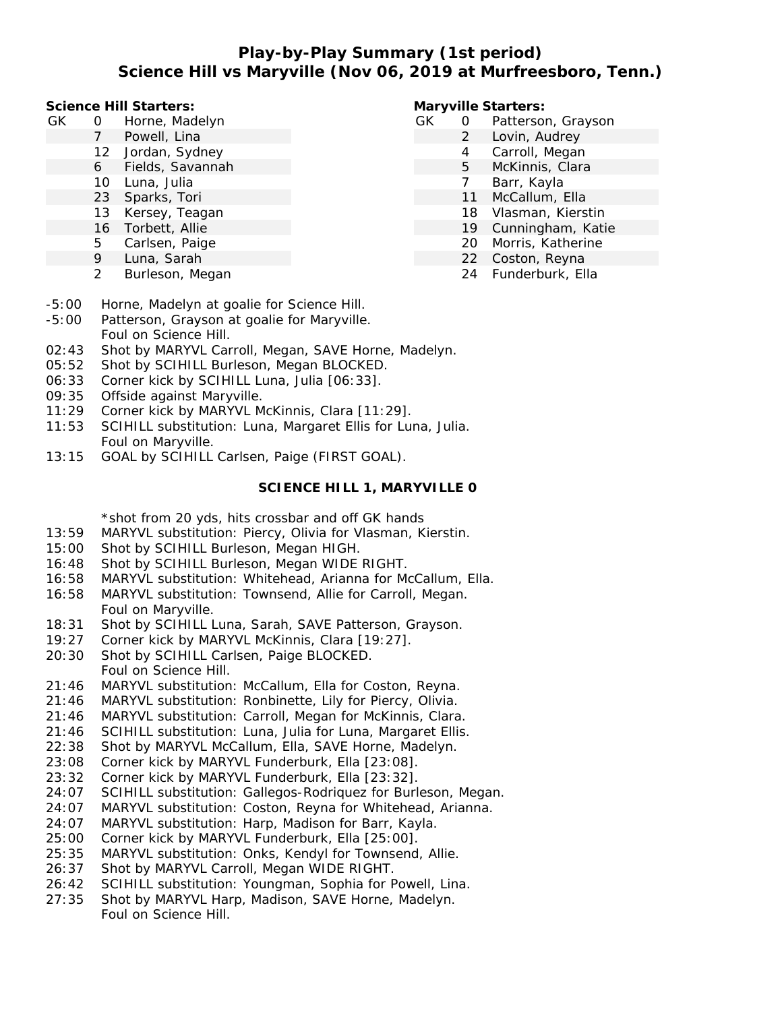# **Play-by-Play Summary (1st period) Science Hill vs Maryville (Nov 06, 2019 at Murfreesboro, Tenn.)**

**Science Hill Starters:**

- GK 0 Horne, Madelyn
	- 7 Powell, Lina
	- 12 Jordan, Sydney
	- 6 Fields, Savannah
	- 10 Luna, Julia
	- 23 Sparks, Tori
	- 13 Kersey, Teagan
	- 16 Torbett, Allie
	- 5 Carlsen, Paige
	- 9 Luna, Sarah
	- 2 Burleson, Megan

**Maryville Starters:**

- GK 0 Patterson, Grayson
	- 2 Lovin, Audrey
		- 4 Carroll, Megan
		- 5 McKinnis, Clara
		- 7 Barr, Kayla
		- 11 McCallum, Ella
		- 18 Vlasman, Kierstin
		- 19 Cunningham, Katie
		- 20 Morris, Katherine
		- 22 Coston, Reyna
		- 24 Funderburk, Ella
- -5:00 Horne, Madelyn at goalie for Science Hill.
- -5:00 Patterson, Grayson at goalie for Maryville. Foul on Science Hill.
- 02:43 Shot by MARYVL Carroll, Megan, SAVE Horne, Madelyn.
- 05:52 Shot by SCIHILL Burleson, Megan BLOCKED.
- 06:33 Corner kick by SCIHILL Luna, Julia [06:33].
- 09:35 Offside against Maryville.
- 11:29 Corner kick by MARYVL McKinnis, Clara [11:29].
- 11:53 SCIHILL substitution: Luna, Margaret Ellis for Luna, Julia. Foul on Maryville.
- 13:15 GOAL by SCIHILL Carlsen, Paige (FIRST GOAL).

### **SCIENCE HILL 1, MARYVILLE 0**

\*shot from 20 yds, hits crossbar and off GK hands

- 13:59 MARYVL substitution: Piercy, Olivia for Vlasman, Kierstin.
- 15:00 Shot by SCIHILL Burleson, Megan HIGH.
- 16:48 Shot by SCIHILL Burleson, Megan WIDE RIGHT.
- 16:58 MARYVL substitution: Whitehead, Arianna for McCallum, Ella.
- 16:58 MARYVL substitution: Townsend, Allie for Carroll, Megan. Foul on Maryville.
- 18:31 Shot by SCIHILL Luna, Sarah, SAVE Patterson, Grayson.
- 19:27 Corner kick by MARYVL McKinnis, Clara [19:27].
- 20:30 Shot by SCIHILL Carlsen, Paige BLOCKED. Foul on Science Hill.
- 21:46 MARYVL substitution: McCallum, Ella for Coston, Reyna.
- 21:46 MARYVL substitution: Ronbinette, Lily for Piercy, Olivia.
- 21:46 MARYVL substitution: Carroll, Megan for McKinnis, Clara.
- 21:46 SCIHILL substitution: Luna, Julia for Luna, Margaret Ellis.
- 22:38 Shot by MARYVL McCallum, Ella, SAVE Horne, Madelyn.
- 23:08 Corner kick by MARYVL Funderburk, Ella [23:08].
- 23:32 Corner kick by MARYVL Funderburk, Ella [23:32].
- 24:07 SCIHILL substitution: Gallegos-Rodriquez for Burleson, Megan.
- 24:07 MARYVL substitution: Coston, Reyna for Whitehead, Arianna.
- 24:07 MARYVL substitution: Harp, Madison for Barr, Kayla.
- 25:00 Corner kick by MARYVL Funderburk, Ella [25:00].
- 25:35 MARYVL substitution: Onks, Kendyl for Townsend, Allie.
- 26:37 Shot by MARYVL Carroll, Megan WIDE RIGHT.
- 26:42 SCIHILL substitution: Youngman, Sophia for Powell, Lina.
- 27:35 Shot by MARYVL Harp, Madison, SAVE Horne, Madelyn. Foul on Science Hill.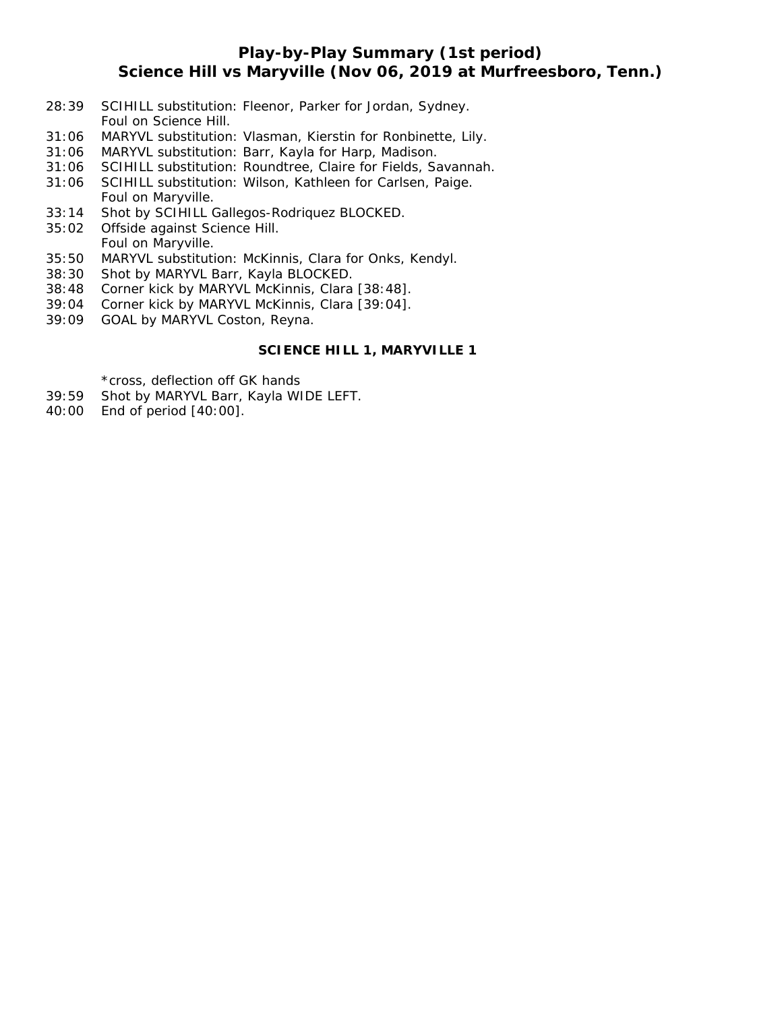## **Play-by-Play Summary (1st period) Science Hill vs Maryville (Nov 06, 2019 at Murfreesboro, Tenn.)**

- 28:39 SCIHILL substitution: Fleenor, Parker for Jordan, Sydney. Foul on Science Hill.
- 31:06 MARYVL substitution: Vlasman, Kierstin for Ronbinette, Lily.
- 31:06 MARYVL substitution: Barr, Kayla for Harp, Madison.
- 31:06 SCIHILL substitution: Roundtree, Claire for Fields, Savannah.
- 31:06 SCIHILL substitution: Wilson, Kathleen for Carlsen, Paige. Foul on Maryville.
- 33:14 Shot by SCIHILL Gallegos-Rodriquez BLOCKED.
- 35:02 Offside against Science Hill. Foul on Maryville.
- 35:50 MARYVL substitution: McKinnis, Clara for Onks, Kendyl.
- 38:30 Shot by MARYVL Barr, Kayla BLOCKED.
- 38:48 Corner kick by MARYVL McKinnis, Clara [38:48].
- 39:04 Corner kick by MARYVL McKinnis, Clara [39:04].
- 39:09 GOAL by MARYVL Coston, Reyna.

### **SCIENCE HILL 1, MARYVILLE 1**

\*cross, deflection off GK hands

- 39:59 Shot by MARYVL Barr, Kayla WIDE LEFT.
- 40:00 End of period [40:00].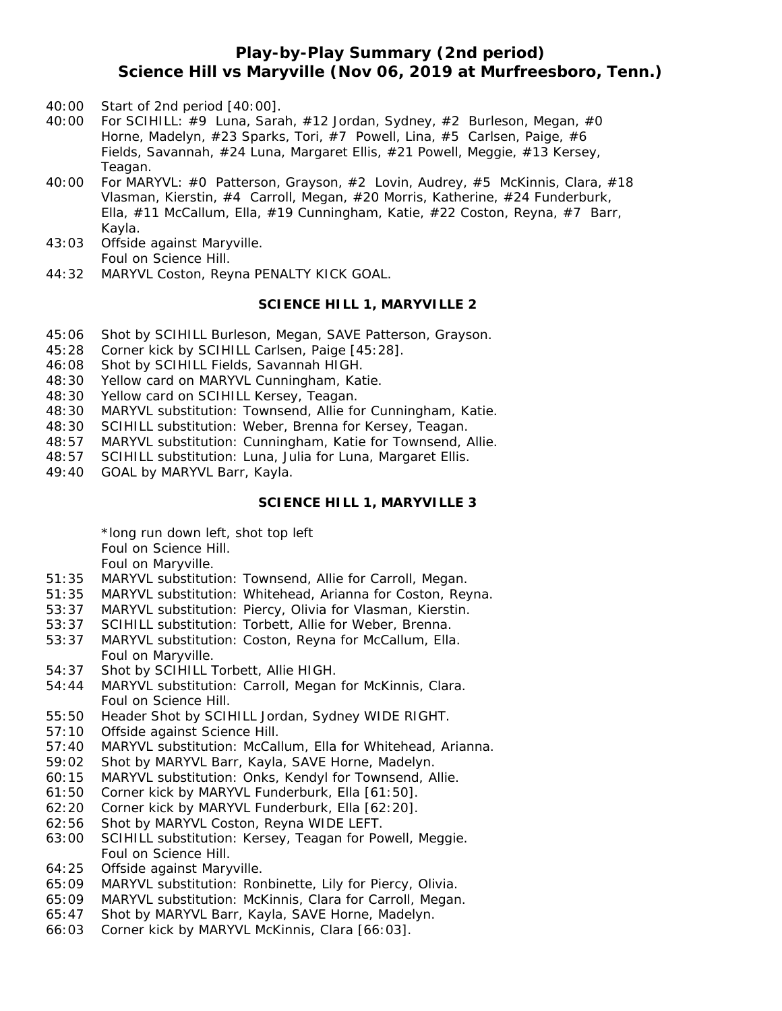## **Play-by-Play Summary (2nd period) Science Hill vs Maryville (Nov 06, 2019 at Murfreesboro, Tenn.)**

- 40:00 Start of 2nd period [40:00].
- 40:00 For SCIHILL: #9 Luna, Sarah, #12 Jordan, Sydney, #2 Burleson, Megan, #0 Horne, Madelyn, #23 Sparks, Tori, #7 Powell, Lina, #5 Carlsen, Paige, #6 Fields, Savannah, #24 Luna, Margaret Ellis, #21 Powell, Meggie, #13 Kersey, Teagan.
- 40:00 For MARYVL: #0 Patterson, Grayson, #2 Lovin, Audrey, #5 McKinnis, Clara, #18 Vlasman, Kierstin, #4 Carroll, Megan, #20 Morris, Katherine, #24 Funderburk, Ella, #11 McCallum, Ella, #19 Cunningham, Katie, #22 Coston, Reyna, #7 Barr, Kayla.
- 43:03 Offside against Maryville. Foul on Science Hill.
- 44:32 MARYVL Coston, Reyna PENALTY KICK GOAL.

#### **SCIENCE HILL 1, MARYVILLE 2**

- 45:06 Shot by SCIHILL Burleson, Megan, SAVE Patterson, Grayson.
- 45:28 Corner kick by SCIHILL Carlsen, Paige [45:28].
- 46:08 Shot by SCIHILL Fields, Savannah HIGH.
- 48:30 Yellow card on MARYVL Cunningham, Katie.
- 48:30 Yellow card on SCIHILL Kersey, Teagan.
- 48:30 MARYVL substitution: Townsend, Allie for Cunningham, Katie.
- 48:30 SCIHILL substitution: Weber, Brenna for Kersey, Teagan.
- 48:57 MARYVL substitution: Cunningham, Katie for Townsend, Allie.
- 48:57 SCIHILL substitution: Luna, Julia for Luna, Margaret Ellis.
- 49:40 GOAL by MARYVL Barr, Kayla.

#### **SCIENCE HILL 1, MARYVILLE 3**

\*long run down left, shot top left Foul on Science Hill.

Foul on Maryville.

- 51:35 MARYVL substitution: Townsend, Allie for Carroll, Megan.
- 51:35 MARYVL substitution: Whitehead, Arianna for Coston, Reyna.
- 53:37 MARYVL substitution: Piercy, Olivia for Vlasman, Kierstin.
- 53:37 SCIHILL substitution: Torbett, Allie for Weber, Brenna.
- 53:37 MARYVL substitution: Coston, Reyna for McCallum, Ella. Foul on Maryville.
- 54:37 Shot by SCIHILL Torbett, Allie HIGH.
- 54:44 MARYVL substitution: Carroll, Megan for McKinnis, Clara. Foul on Science Hill.
- 55:50 Header Shot by SCIHILL Jordan, Sydney WIDE RIGHT.
- 57:10 Offside against Science Hill.
- 57:40 MARYVL substitution: McCallum, Ella for Whitehead, Arianna.
- 59:02 Shot by MARYVL Barr, Kayla, SAVE Horne, Madelyn.
- 60:15 MARYVL substitution: Onks, Kendyl for Townsend, Allie.
- 61:50 Corner kick by MARYVL Funderburk, Ella [61:50].
- 62:20 Corner kick by MARYVL Funderburk, Ella [62:20].
- 62:56 Shot by MARYVL Coston, Reyna WIDE LEFT.
- 63:00 SCIHILL substitution: Kersey, Teagan for Powell, Meggie. Foul on Science Hill.
- 64:25 Offside against Maryville.
- 65:09 MARYVL substitution: Ronbinette, Lily for Piercy, Olivia.
- 65:09 MARYVL substitution: McKinnis, Clara for Carroll, Megan.
- 65:47 Shot by MARYVL Barr, Kayla, SAVE Horne, Madelyn.
- 66:03 Corner kick by MARYVL McKinnis, Clara [66:03].